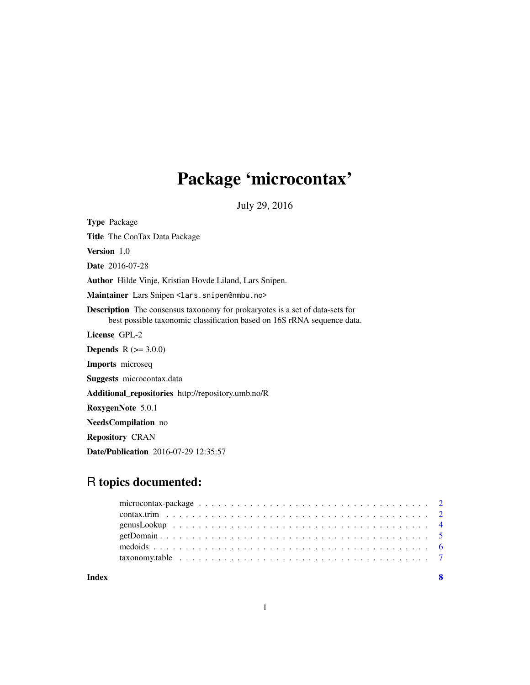## Package 'microcontax'

July 29, 2016

<span id="page-0-0"></span>Type Package Title The ConTax Data Package Version 1.0 Date 2016-07-28 Author Hilde Vinje, Kristian Hovde Liland, Lars Snipen. Maintainer Lars Snipen <lars.snipen@nmbu.no> Description The consensus taxonomy for prokaryotes is a set of data-sets for best possible taxonomic classification based on 16S rRNA sequence data. License GPL-2 **Depends** R  $(>= 3.0.0)$ Imports microseq Suggests microcontax.data Additional\_repositories http://repository.umb.no/R RoxygenNote 5.0.1 NeedsCompilation no Repository CRAN Date/Publication 2016-07-29 12:35:57

### R topics documented:

| Index |  |  |  |  |  |  |  |  |  |  |  |  |  |  |  |
|-------|--|--|--|--|--|--|--|--|--|--|--|--|--|--|--|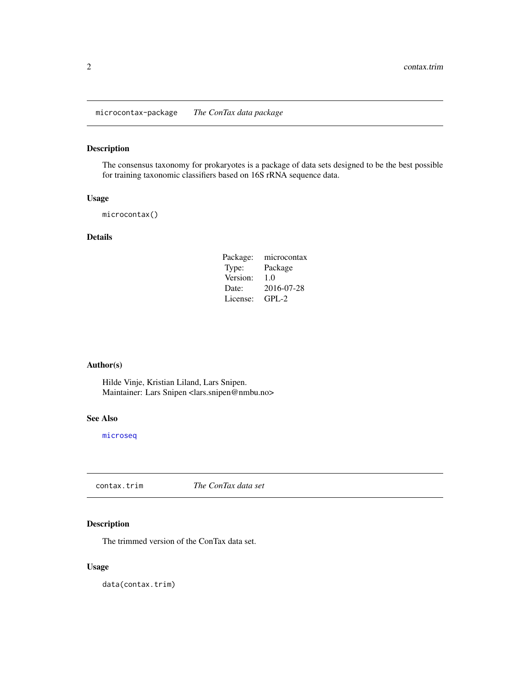<span id="page-1-0"></span>microcontax-package *The ConTax data package*

#### Description

The consensus taxonomy for prokaryotes is a package of data sets designed to be the best possible for training taxonomic classifiers based on 16S rRNA sequence data.

#### Usage

microcontax()

#### Details

| Package: | microcontax |
|----------|-------------|
| Type:    | Package     |
| Version: | 1.0         |
| Date:    | 2016-07-28  |
| License: | GPL-2       |

#### Author(s)

Hilde Vinje, Kristian Liland, Lars Snipen. Maintainer: Lars Snipen <lars.snipen@nmbu.no>

#### See Also

[microseq](#page-0-0)

<span id="page-1-1"></span>contax.trim *The ConTax data set*

#### Description

The trimmed version of the ConTax data set.

#### Usage

data(contax.trim)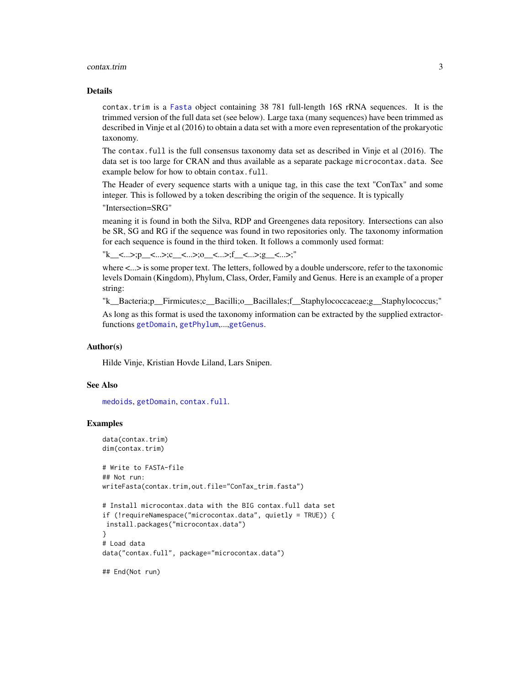#### <span id="page-2-0"></span>contax.trim 3

#### Details

contax.trim is a [Fasta](#page-0-0) object containing 38 781 full-length 16S rRNA sequences. It is the trimmed version of the full data set (see below). Large taxa (many sequences) have been trimmed as described in Vinje et al (2016) to obtain a data set with a more even representation of the prokaryotic taxonomy.

The contax.full is the full consensus taxonomy data set as described in Vinje et al (2016). The data set is too large for CRAN and thus available as a separate package microcontax.data. See example below for how to obtain contax.full.

The Header of every sequence starts with a unique tag, in this case the text "ConTax" and some integer. This is followed by a token describing the origin of the sequence. It is typically

"Intersection=SRG"

meaning it is found in both the Silva, RDP and Greengenes data repository. Intersections can also be SR, SG and RG if the sequence was found in two repositories only. The taxonomy information for each sequence is found in the third token. It follows a commonly used format:

```
"k_<...>;p_<...>;c_<...>;o_<...>;f_<...>;g_<...>;"
```
where  $\lt$ ... is some proper text. The letters, followed by a double underscore, refer to the taxonomic levels Domain (Kingdom), Phylum, Class, Order, Family and Genus. Here is an example of a proper string:

"k\_\_Bacteria;p\_\_Firmicutes;c\_\_Bacilli;o\_\_Bacillales;f\_\_Staphylococcaceae;g\_\_Staphylococcus;"

As long as this format is used the taxonomy information can be extracted by the supplied extractorfunctions [getDomain](#page-4-1), [getPhylum](#page-4-2),...,[getGenus](#page-4-2).

#### Author(s)

Hilde Vinje, Kristian Hovde Liland, Lars Snipen.

#### See Also

[medoids](#page-5-1), [getDomain](#page-4-1), [contax.full](#page-0-0).

#### Examples

```
data(contax.trim)
dim(contax.trim)
```

```
# Write to FASTA-file
## Not run:
writeFasta(contax.trim,out.file="ConTax_trim.fasta")
```

```
# Install microcontax.data with the BIG contax.full data set
if (!requireNamespace("microcontax.data", quietly = TRUE)) {
install.packages("microcontax.data")
}
# Load data
data("contax.full", package="microcontax.data")
```
## End(Not run)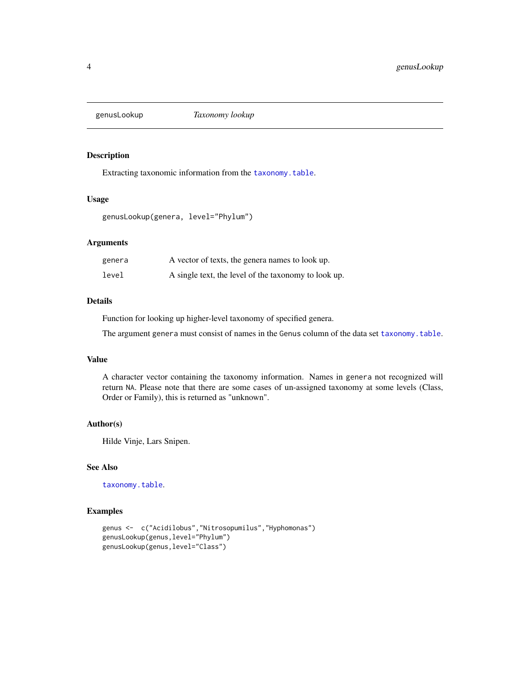<span id="page-3-1"></span><span id="page-3-0"></span>

#### Description

Extracting taxonomic information from the [taxonomy.table](#page-6-1).

#### Usage

genusLookup(genera, level="Phylum")

#### Arguments

| genera | A vector of texts, the genera names to look up.      |
|--------|------------------------------------------------------|
| level  | A single text, the level of the taxonomy to look up. |

#### Details

Function for looking up higher-level taxonomy of specified genera.

The argument genera must consist of names in the Genus column of the data set [taxonomy.table](#page-6-1).

#### Value

A character vector containing the taxonomy information. Names in genera not recognized will return NA. Please note that there are some cases of un-assigned taxonomy at some levels (Class, Order or Family), this is returned as "unknown".

#### Author(s)

Hilde Vinje, Lars Snipen.

#### See Also

[taxonomy.table](#page-6-1).

#### Examples

```
genus <- c("Acidilobus","Nitrosopumilus","Hyphomonas")
genusLookup(genus,level="Phylum")
genusLookup(genus,level="Class")
```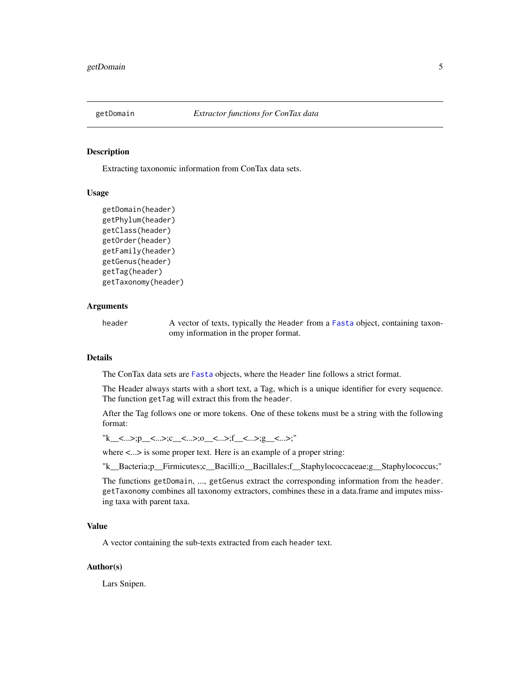<span id="page-4-1"></span><span id="page-4-0"></span>

#### <span id="page-4-2"></span>Description

Extracting taxonomic information from ConTax data sets.

#### Usage

```
getDomain(header)
getPhylum(header)
getClass(header)
getOrder(header)
getFamily(header)
getGenus(header)
getTag(header)
getTaxonomy(header)
```
#### Arguments

header A vector of texts, typically the Header from a [Fasta](#page-0-0) object, containing taxonomy information in the proper format.

#### Details

The ConTax data sets are [Fasta](#page-0-0) objects, where the Header line follows a strict format.

The Header always starts with a short text, a Tag, which is a unique identifier for every sequence. The function getTag will extract this from the header.

After the Tag follows one or more tokens. One of these tokens must be a string with the following format:

"k\_<...>;p\_<...>;c\_<...>;o\_<...>;f\_<...>;g\_<...>;"

where <...> is some proper text. Here is an example of a proper string:

"k\_\_Bacteria;p\_\_Firmicutes;c\_\_Bacilli;o\_\_Bacillales;f\_\_Staphylococcaceae;g\_\_Staphylococcus;"

The functions getDomain, ..., getGenus extract the corresponding information from the header. getTaxonomy combines all taxonomy extractors, combines these in a data.frame and imputes missing taxa with parent taxa.

#### Value

A vector containing the sub-texts extracted from each header text.

#### Author(s)

Lars Snipen.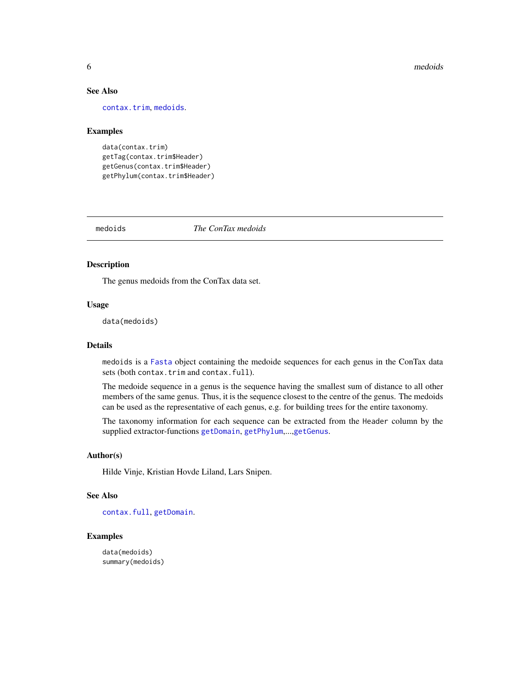#### **6** medoids and the contract of the contract of the contract of the contract of the contract of the contract of the contract of the contract of the contract of the contract of the contract of the contract of the contract o

#### See Also

[contax.trim](#page-1-1), [medoids](#page-5-1).

#### Examples

```
data(contax.trim)
getTag(contax.trim$Header)
getGenus(contax.trim$Header)
getPhylum(contax.trim$Header)
```
<span id="page-5-1"></span>medoids *The ConTax medoids*

#### Description

The genus medoids from the ConTax data set.

#### Usage

data(medoids)

#### Details

medoids is a [Fasta](#page-0-0) object containing the medoide sequences for each genus in the ConTax data sets (both contax.trim and contax.full).

The medoide sequence in a genus is the sequence having the smallest sum of distance to all other members of the same genus. Thus, it is the sequence closest to the centre of the genus. The medoids can be used as the representative of each genus, e.g. for building trees for the entire taxonomy.

The taxonomy information for each sequence can be extracted from the Header column by the supplied extractor-functions [getDomain](#page-4-1), [getPhylum](#page-4-2),...,[getGenus](#page-4-2).

#### Author(s)

Hilde Vinje, Kristian Hovde Liland, Lars Snipen.

#### See Also

[contax.full](#page-0-0), [getDomain](#page-4-1).

#### Examples

data(medoids) summary(medoids)

<span id="page-5-0"></span>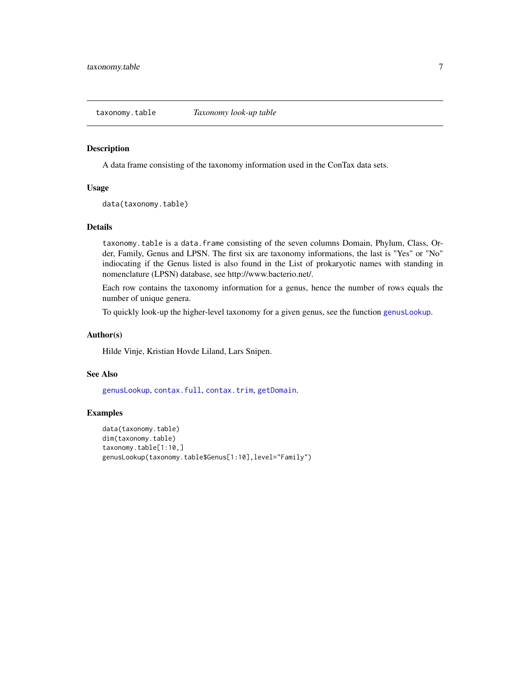<span id="page-6-1"></span><span id="page-6-0"></span>taxonomy.table *Taxonomy look-up table*

#### Description

A data frame consisting of the taxonomy information used in the ConTax data sets.

#### Usage

```
data(taxonomy.table)
```
#### Details

taxonomy.table is a data.frame consisting of the seven columns Domain, Phylum, Class, Order, Family, Genus and LPSN. The first six are taxonomy informations, the last is "Yes" or "No" indiocating if the Genus listed is also found in the List of prokaryotic names with standing in nomenclature (LPSN) database, see http://www.bacterio.net/.

Each row contains the taxonomy information for a genus, hence the number of rows equals the number of unique genera.

To quickly look-up the higher-level taxonomy for a given genus, see the function [genusLookup](#page-3-1).

#### Author(s)

Hilde Vinje, Kristian Hovde Liland, Lars Snipen.

#### See Also

[genusLookup](#page-3-1), [contax.full](#page-0-0), [contax.trim](#page-1-1), [getDomain](#page-4-1).

#### Examples

```
data(taxonomy.table)
dim(taxonomy.table)
taxonomy.table[1:10,]
genusLookup(taxonomy.table$Genus[1:10],level="Family")
```